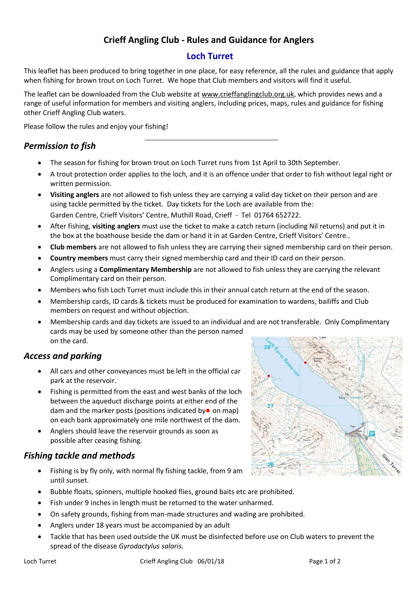# **Crieff Angling Club - Rules and Guidance for Anglers**

### **Loch Turret**

This leaflet has been produced to bring together in one place, for easy reference, all the rules and guidance that apply when fishing for brown trout on Loch Turret. We hope that Club members and visitors will find it useful.

The leaflet can be downloaded from the Club website at [www.crieffanglingclub.org.uk,](http://www.crieffanglingclub.org.uk/) which provides news and a range of useful information for members and visiting anglers, including prices, maps, rules and guidance for fishing other Crieff Angling Club waters.

Please follow the rules and enjoy your fishing!

### *Permission to fish*

- The season for fishing for brown trout on Loch Turret runs from 1st April to 30th September.
- A trout protection order applies to the loch, and it is an offence under that order to fish without legal right or written permission.
- **Visiting anglers** are not allowed to fish unless they are carrying a valid day ticket on their person and are using tackle permitted by the ticket. Day tickets for the Loch are available from the: Garden Centre, Crieff Visitors' Centre, Muthill Road, Crieff - Tel 01764 652722.
- After fishing, **visiting anglers** must use the ticket to make a catch return (including Nil returns) and put it in the box at the boathouse beside the dam or hand it in at Garden Centre, Crieff Visitors' Centre..
- **Club members** are not allowed to fish unless they are carrying their signed membership card on their person.
- **Country members** must carry their signed membership card and their ID card on their person.
- Anglers using a **Complimentary Membership** are not allowed to fish unless they are carrying the relevant Complimentary card on their person.
- Members who fish Loch Turret must include this in their annual catch return at the end of the season.
- Membership cards, ID cards & tickets must be produced for examination to wardens, bailiffs and Club members on request and without objection.
- Membership cards and day tickets are issued to an individual and are not transferable. Only Complimentary cards may be used by someone other than the person named on the card.

#### *Access and parking*

- All cars and other conveyances must be left in the official car park at the reservoir.
- Fishing is permitted from the east and west banks of the loch between the aqueduct discharge points at either end of the dam and the marker posts (positions indicated by  $\bullet$  on map) on each bank approximately one mile northwest of the dam.
- Anglers should leave the reservoir grounds as soon as possible after ceasing fishing.

## *Fishing tackle and methods*

- Fishing is by fly only, with normal fly fishing tackle, from 9 am until sunset.
- Bubble floats, spinners, multiple hooked flies, ground baits etc are prohibited.
- Fish under 9 inches in length must be returned to the water unharmed.
- On safety grounds, fishing from man-made structures and wading are prohibited.
- Anglers under 18 years must be accompanied by an adult
- Tackle that has been used outside the UK must be disinfected before use on Club waters to prevent the spread of the disease *Gyrodactylus salaris.*